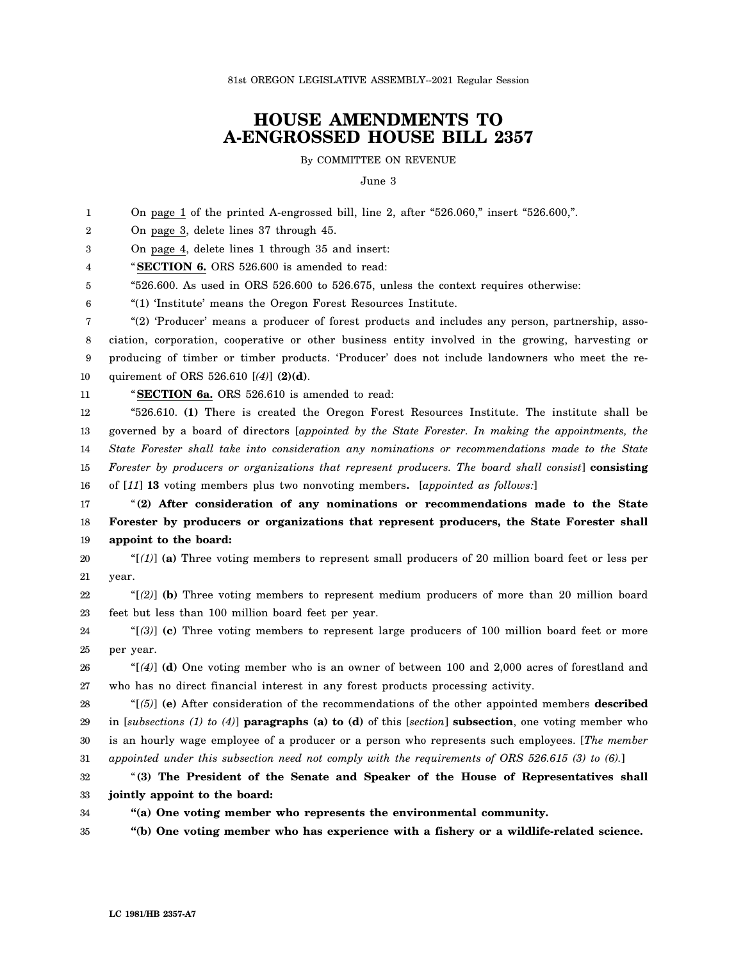81st OREGON LEGISLATIVE ASSEMBLY--2021 Regular Session

## **HOUSE AMENDMENTS TO A-ENGROSSED HOUSE BILL 2357**

By COMMITTEE ON REVENUE

June 3

1  $\mathfrak{D}$ 3 4 5 6 7 8 9 10 11 12 13 14 15 16 17 18 19 20 21 22 23 24 25 26 27 28 29 30 31 32 33 34 On page 1 of the printed A-engrossed bill, line 2, after "526.060," insert "526.600,". On page 3, delete lines 37 through 45. On page 4, delete lines 1 through 35 and insert: "**SECTION 6.** ORS 526.600 is amended to read: "526.600. As used in ORS 526.600 to 526.675, unless the context requires otherwise: "(1) 'Institute' means the Oregon Forest Resources Institute. "(2) 'Producer' means a producer of forest products and includes any person, partnership, association, corporation, cooperative or other business entity involved in the growing, harvesting or producing of timber or timber products. 'Producer' does not include landowners who meet the requirement of ORS 526.610 [*(4)*] **(2)(d)**. "**SECTION 6a.** ORS 526.610 is amended to read: "526.610. **(1)** There is created the Oregon Forest Resources Institute. The institute shall be governed by a board of directors [*appointed by the State Forester. In making the appointments, the State Forester shall take into consideration any nominations or recommendations made to the State Forester by producers or organizations that represent producers. The board shall consist*] **consisting** of [*11*] **13** voting members plus two nonvoting members**.** [*appointed as follows:*] "**(2) After consideration of any nominations or recommendations made to the State Forester by producers or organizations that represent producers, the State Forester shall appoint to the board:** "[*(1)*] **(a)** Three voting members to represent small producers of 20 million board feet or less per year. "[*(2)*] **(b)** Three voting members to represent medium producers of more than 20 million board feet but less than 100 million board feet per year. "[*(3)*] **(c)** Three voting members to represent large producers of 100 million board feet or more per year. "[*(4)*] **(d)** One voting member who is an owner of between 100 and 2,000 acres of forestland and who has no direct financial interest in any forest products processing activity. "[*(5)*] **(e)** After consideration of the recommendations of the other appointed members **described** in [*subsections (1) to (4)*] **paragraphs (a) to (d)** of this [*section*] **subsection**, one voting member who is an hourly wage employee of a producer or a person who represents such employees. [*The member appointed under this subsection need not comply with the requirements of ORS 526.615 (3) to (6).*] "**(3) The President of the Senate and Speaker of the House of Representatives shall jointly appoint to the board: "(a) One voting member who represents the environmental community.**

35 **"(b) One voting member who has experience with a fishery or a wildlife-related science.**